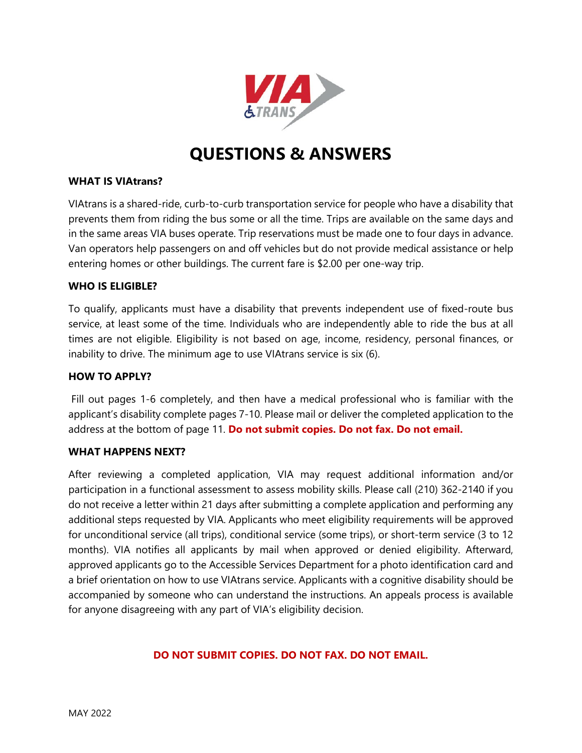

# **QUESTIONS & ANSWERS**

## **WHAT IS VIAtrans?**

VIAtrans is a shared-ride, curb-to-curb transportation service for people who have a disability that prevents them from riding the bus some or all the time. Trips are available on the same days and in the same areas VIA buses operate. Trip reservations must be made one to four days in advance. Van operators help passengers on and off vehicles but do not provide medical assistance or help entering homes or other buildings. The current fare is \$2.00 per one-way trip.

## **WHO IS ELIGIBLE?**

To qualify, applicants must have a disability that prevents independent use of fixed-route bus service, at least some of the time. Individuals who are independently able to ride the bus at all times are not eligible. Eligibility is not based on age, income, residency, personal finances, or inability to drive. The minimum age to use VIAtrans service is six (6).

#### **HOW TO APPLY?**

Fill out pages 1-6 completely, and then have a medical professional who is familiar with the applicant's disability complete pages 7-10. Please mail or deliver the completed application to the address at the bottom of page 11. **Do not submit copies. Do not fax. Do not email.** 

## **WHAT HAPPENS NEXT?**

After reviewing a completed application, VIA may request additional information and/or participation in a functional assessment to assess mobility skills. Please call (210) 362-2140 if you do not receive a letter within 21 days after submitting a complete application and performing any additional steps requested by VIA. Applicants who meet eligibility requirements will be approved for unconditional service (all trips), conditional service (some trips), or short-term service (3 to 12 months). VIA notifies all applicants by mail when approved or denied eligibility. Afterward, approved applicants go to the Accessible Services Department for a photo identification card and a brief orientation on how to use VIAtrans service. Applicants with a cognitive disability should be accompanied by someone who can understand the instructions. An appeals process is available for anyone disagreeing with any part of VIA's eligibility decision.

## **DO NOT SUBMIT COPIES. DO NOT FAX. DO NOT EMAIL.**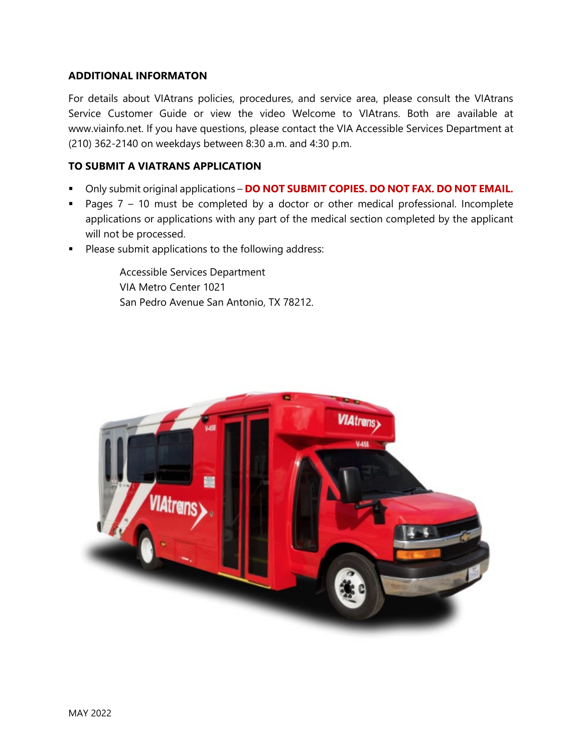## **ADDITIONAL INFORMATON**

For details about VIAtrans policies, procedures, and service area, please consult the VIAtrans Service Customer Guide or view the video Welcome to VIAtrans. Both are available at www.viainfo.net. If you have questions, please contact the VIA Accessible Services Department at (210) 362-2140 on weekdays between 8:30 a.m. and 4:30 p.m.

## **TO SUBMIT A VIATRANS APPLICATION**

- Only submit original applications **DO NOT SUBMIT COPIES. DO NOT FAX. DO NOT EMAIL.**
- Pages  $7 10$  must be completed by a doctor or other medical professional. Incomplete applications or applications with any part of the medical section completed by the applicant will not be processed.
- **Please submit applications to the following address:**

Accessible Services Department VIA Metro Center 1021 San Pedro Avenue San Antonio, TX 78212.

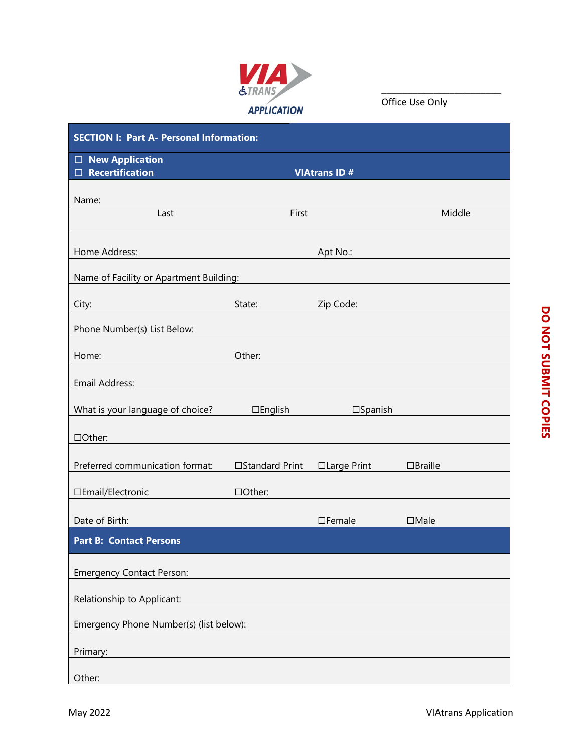

Office Use Only

| <b>SECTION I: Part A- Personal Information:</b>  |                   |                     |                |  |  |  |  |
|--------------------------------------------------|-------------------|---------------------|----------------|--|--|--|--|
| $\Box$ New Application<br>$\Box$ Recertification |                   | <b>VIAtrans ID#</b> |                |  |  |  |  |
| Name:                                            |                   |                     |                |  |  |  |  |
| Last                                             | First             |                     | Middle         |  |  |  |  |
| Home Address:                                    |                   | Apt No.:            |                |  |  |  |  |
| Name of Facility or Apartment Building:          |                   |                     |                |  |  |  |  |
| City:                                            | State:            | Zip Code:           |                |  |  |  |  |
| Phone Number(s) List Below:                      |                   |                     |                |  |  |  |  |
| Home:                                            | Other:            |                     |                |  |  |  |  |
| Email Address:                                   |                   |                     |                |  |  |  |  |
| What is your language of choice?                 | $\square$ English | $\square$ Spanish   |                |  |  |  |  |
| □Other:                                          |                   |                     |                |  |  |  |  |
| Preferred communication format:                  | □Standard Print   | □ Large Print       | $\Box$ Braille |  |  |  |  |
| □Email/Electronic                                | □Other:           |                     |                |  |  |  |  |
| Date of Birth:                                   |                   | $\square$ Female    | $\Box$ Male    |  |  |  |  |
| <b>Part B: Contact Persons</b>                   |                   |                     |                |  |  |  |  |
| <b>Emergency Contact Person:</b>                 |                   |                     |                |  |  |  |  |
| Relationship to Applicant:                       |                   |                     |                |  |  |  |  |
| Emergency Phone Number(s) (list below):          |                   |                     |                |  |  |  |  |
| Primary:                                         |                   |                     |                |  |  |  |  |
| Other:                                           |                   |                     |                |  |  |  |  |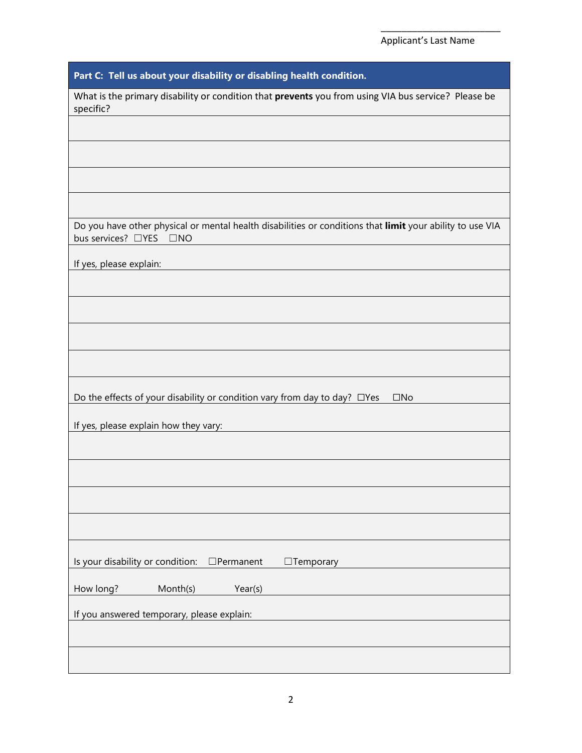| Part C: Tell us about your disability or disabling health condition.                                                                |
|-------------------------------------------------------------------------------------------------------------------------------------|
| What is the primary disability or condition that prevents you from using VIA bus service? Please be<br>specific?                    |
|                                                                                                                                     |
|                                                                                                                                     |
|                                                                                                                                     |
|                                                                                                                                     |
| Do you have other physical or mental health disabilities or conditions that limit your ability to use VIA<br>bus services? □YES □NO |
|                                                                                                                                     |
| If yes, please explain:                                                                                                             |
|                                                                                                                                     |
|                                                                                                                                     |
|                                                                                                                                     |
|                                                                                                                                     |
| Do the effects of your disability or condition vary from day to day? □ Yes<br>$\square$ No                                          |
| If yes, please explain how they vary:                                                                                               |
|                                                                                                                                     |
|                                                                                                                                     |
|                                                                                                                                     |
|                                                                                                                                     |
|                                                                                                                                     |
| Is your disability or condition:<br>$\Box$ Permanent<br>$\Box$ Temporary                                                            |
| How long?<br>Month(s)<br>Year(s)                                                                                                    |
|                                                                                                                                     |
| If you answered temporary, please explain:                                                                                          |
|                                                                                                                                     |
|                                                                                                                                     |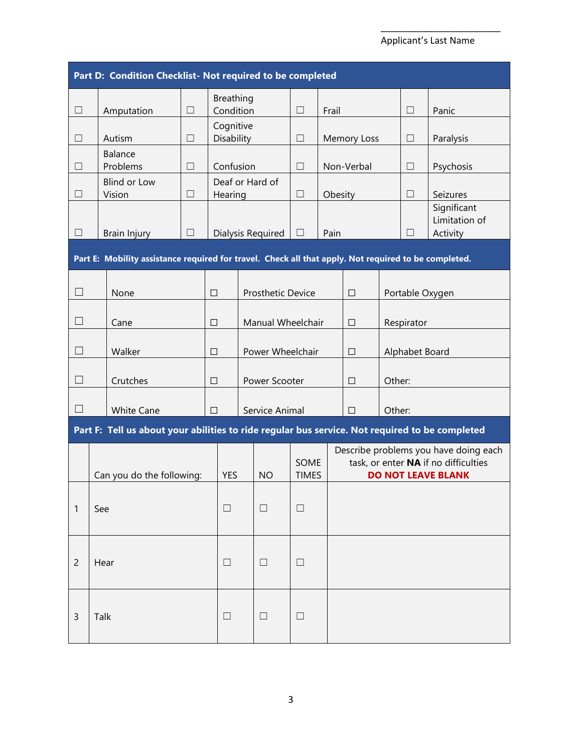## Applicant's Last Name

|                           | Part D: Condition Checklist- Not required to be completed                                            |        |            |                               |                          |        |         |                          |        |                                                                                                            |                                          |
|---------------------------|------------------------------------------------------------------------------------------------------|--------|------------|-------------------------------|--------------------------|--------|---------|--------------------------|--------|------------------------------------------------------------------------------------------------------------|------------------------------------------|
| $\Box$                    | Amputation                                                                                           | $\Box$ |            | <b>Breathing</b><br>Condition |                          | П      | Frail   |                          |        | $\Box$                                                                                                     | Panic                                    |
| $\Box$                    | Autism                                                                                               | $\Box$ |            | Cognitive<br>Disability       |                          | П      |         | Memory Loss              |        | $\Box$                                                                                                     | Paralysis                                |
| $\Box$                    | Balance<br>Problems                                                                                  | $\Box$ |            | Confusion                     |                          | $\Box$ |         | Non-Verbal               |        | $\Box$                                                                                                     | Psychosis                                |
| П                         | <b>Blind or Low</b><br>Vision                                                                        | П      |            | Hearing                       | Deaf or Hard of          | $\Box$ | Obesity |                          |        | $\Box$                                                                                                     | Seizures                                 |
| $\Box$                    | Brain Injury                                                                                         | $\Box$ |            |                               | Dialysis Required        | $\Box$ | Pain    |                          |        | $\Box$                                                                                                     | Significant<br>Limitation of<br>Activity |
|                           | Part E: Mobility assistance required for travel. Check all that apply. Not required to be completed. |        |            |                               |                          |        |         |                          |        |                                                                                                            |                                          |
| $\Box$                    | None                                                                                                 |        | $\Box$     |                               | <b>Prosthetic Device</b> |        |         | $\Box$                   |        |                                                                                                            | Portable Oxygen                          |
| $\Box$                    | Cane                                                                                                 |        | $\Box$     | Manual Wheelchair             |                          |        |         | $\Box$                   |        | Respirator                                                                                                 |                                          |
|                           | Walker                                                                                               |        | □          |                               | Power Wheelchair         |        |         | Alphabet Board<br>$\Box$ |        |                                                                                                            |                                          |
| $\Box$                    | Crutches                                                                                             |        | $\Box$     |                               | Power Scooter            |        |         | $\Box$                   | Other: |                                                                                                            |                                          |
| $\overline{\phantom{a}}$  | <b>White Cane</b>                                                                                    |        | $\Box$     |                               | Service Animal           |        |         | $\Box$                   | Other: |                                                                                                            |                                          |
|                           | Part F: Tell us about your abilities to ride regular bus service. Not required to be completed       |        |            |                               |                          |        |         |                          |        |                                                                                                            |                                          |
| Can you do the following: |                                                                                                      |        | <b>YES</b> | <b>NO</b>                     | SOME<br><b>TIMES</b>     |        |         |                          |        | Describe problems you have doing each<br>task, or enter NA if no difficulties<br><b>DO NOT LEAVE BLANK</b> |                                          |
| 1                         | See                                                                                                  | □<br>Ш |            |                               | $\Box$                   |        |         |                          |        |                                                                                                            |                                          |
| $\overline{2}$            | Hear                                                                                                 |        |            | $\Box$<br>$\Box$              |                          | $\Box$ |         |                          |        |                                                                                                            |                                          |
| 3                         | Talk                                                                                                 |        |            | $\Box$                        | $\Box$                   | $\Box$ |         |                          |        |                                                                                                            |                                          |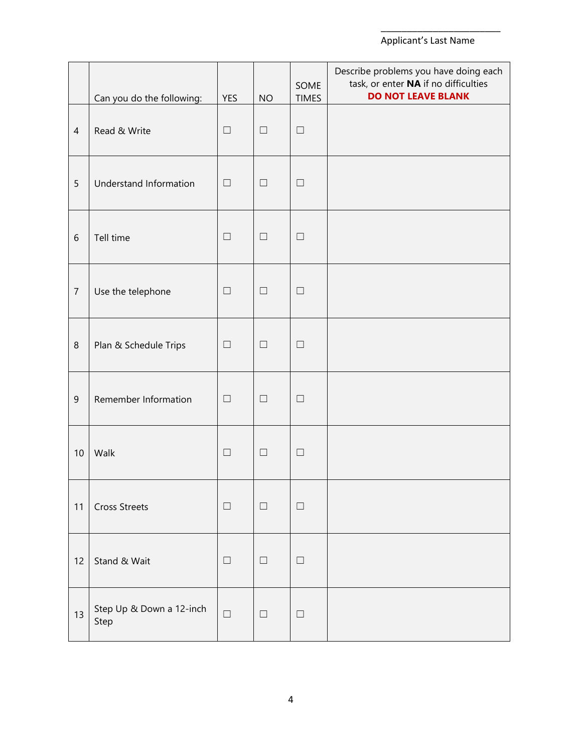## Applicant's Last Name

|                | Can you do the following:        | <b>YES</b> | <b>NO</b> | SOME<br><b>TIMES</b> | Describe problems you have doing each<br>task, or enter NA if no difficulties<br><b>DO NOT LEAVE BLANK</b> |
|----------------|----------------------------------|------------|-----------|----------------------|------------------------------------------------------------------------------------------------------------|
| $\overline{4}$ | Read & Write                     | $\Box$     | $\Box$    | $\Box$               |                                                                                                            |
| 5              | Understand Information           | $\Box$     | $\Box$    | $\Box$               |                                                                                                            |
| 6              | Tell time                        | $\Box$     | $\Box$    | $\Box$               |                                                                                                            |
| $\overline{7}$ | Use the telephone                | $\Box$     | $\Box$    | $\Box$               |                                                                                                            |
| $\,8\,$        | Plan & Schedule Trips            | $\Box$     | $\Box$    | $\Box$               |                                                                                                            |
| 9              | Remember Information             | $\Box$     | $\Box$    | $\Box$               |                                                                                                            |
| 10             | Walk                             | $\Box$     | $\Box$    | $\Box$               |                                                                                                            |
| 11             | <b>Cross Streets</b>             | $\Box$     | ப         | $\Box$               |                                                                                                            |
| 12             | Stand & Wait                     | $\Box$     | $\Box$    | $\Box$               |                                                                                                            |
| 13             | Step Up & Down a 12-inch<br>Step | $\Box$     | $\Box$    | $\Box$               |                                                                                                            |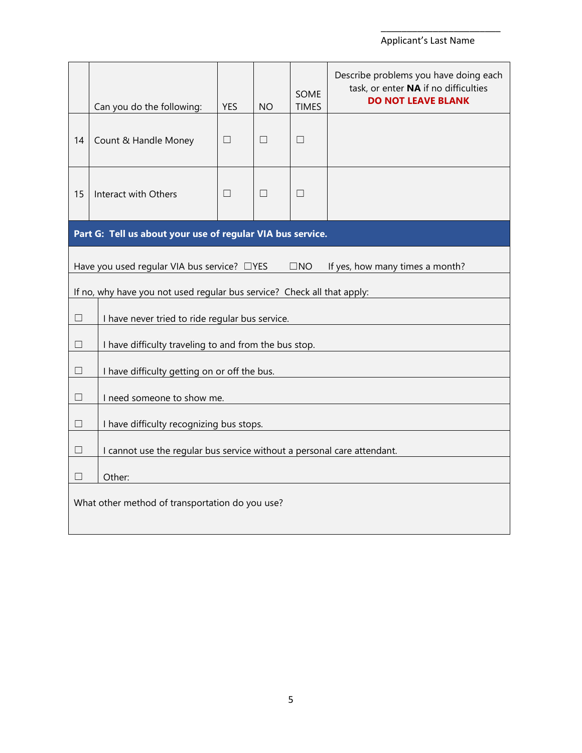## Applicant's Last Name

|                                                                              | Can you do the following:                                                                      | <b>YES</b> | <b>NO</b> | <b>SOME</b><br><b>TIMES</b> | Describe problems you have doing each<br>task, or enter NA if no difficulties<br><b>DO NOT LEAVE BLANK</b> |  |  |  |
|------------------------------------------------------------------------------|------------------------------------------------------------------------------------------------|------------|-----------|-----------------------------|------------------------------------------------------------------------------------------------------------|--|--|--|
| 14                                                                           | Count & Handle Money                                                                           | П          | П         | П                           |                                                                                                            |  |  |  |
| 15                                                                           | Interact with Others                                                                           | П          | П         | П                           |                                                                                                            |  |  |  |
|                                                                              | Part G: Tell us about your use of regular VIA bus service.                                     |            |           |                             |                                                                                                            |  |  |  |
|                                                                              | Have you used regular VIA bus service? □YES<br>$\square$ NO<br>If yes, how many times a month? |            |           |                             |                                                                                                            |  |  |  |
|                                                                              | If no, why have you not used regular bus service? Check all that apply:                        |            |           |                             |                                                                                                            |  |  |  |
| □                                                                            | I have never tried to ride regular bus service.                                                |            |           |                             |                                                                                                            |  |  |  |
| □                                                                            | I have difficulty traveling to and from the bus stop.                                          |            |           |                             |                                                                                                            |  |  |  |
| $\Box$                                                                       | I have difficulty getting on or off the bus.                                                   |            |           |                             |                                                                                                            |  |  |  |
| П                                                                            | I need someone to show me.                                                                     |            |           |                             |                                                                                                            |  |  |  |
| $\Box$                                                                       | I have difficulty recognizing bus stops.                                                       |            |           |                             |                                                                                                            |  |  |  |
| I cannot use the regular bus service without a personal care attendant.<br>□ |                                                                                                |            |           |                             |                                                                                                            |  |  |  |
| $\Box$<br>Other:                                                             |                                                                                                |            |           |                             |                                                                                                            |  |  |  |
| What other method of transportation do you use?                              |                                                                                                |            |           |                             |                                                                                                            |  |  |  |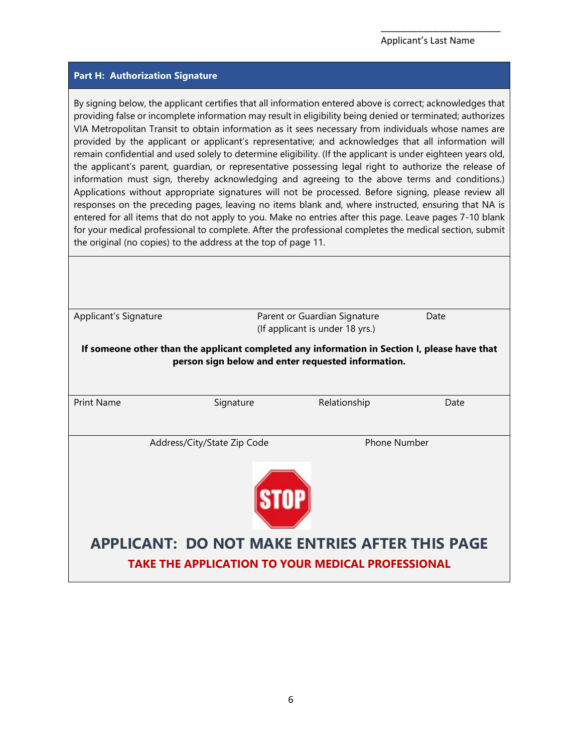#### **Part H: Authorization Signature**

By signing below, the applicant certifies that all information entered above is correct; acknowledges that providing false or incomplete information may result in eligibility being denied or terminated; authorizes VIA Metropolitan Transit to obtain information as it sees necessary from individuals whose names are provided by the applicant or applicant's representative; and acknowledges that all information will remain confidential and used solely to determine eligibility. (If the applicant is under eighteen years old, the applicant's parent, guardian, or representative possessing legal right to authorize the release of information must sign, thereby acknowledging and agreeing to the above terms and conditions.) Applications without appropriate signatures will not be processed. Before signing, please review all responses on the preceding pages, leaving no items blank and, where instructed, ensuring that NA is entered for all items that do not apply to you. Make no entries after this page. Leave pages 7-10 blank for your medical professional to complete. After the professional completes the medical section, submit the original (no copies) to the address at the top of page 11.

| Applicant's Signature                                                                                             |                                                                                                                                                    | Parent or Guardian Signature<br>(If applicant is under 18 yrs.) | Date |  |  |
|-------------------------------------------------------------------------------------------------------------------|----------------------------------------------------------------------------------------------------------------------------------------------------|-----------------------------------------------------------------|------|--|--|
|                                                                                                                   | If someone other than the applicant completed any information in Section I, please have that<br>person sign below and enter requested information. |                                                                 |      |  |  |
| <b>Print Name</b>                                                                                                 | Signature                                                                                                                                          | Relationship                                                    | Date |  |  |
|                                                                                                                   | Address/City/State Zip Code                                                                                                                        | <b>Phone Number</b>                                             |      |  |  |
| <b>APPLICANT: DO NOT MAKE ENTRIES AFTER THIS PAGE</b><br><b>TAKE THE APPLICATION TO YOUR MEDICAL PROFESSIONAL</b> |                                                                                                                                                    |                                                                 |      |  |  |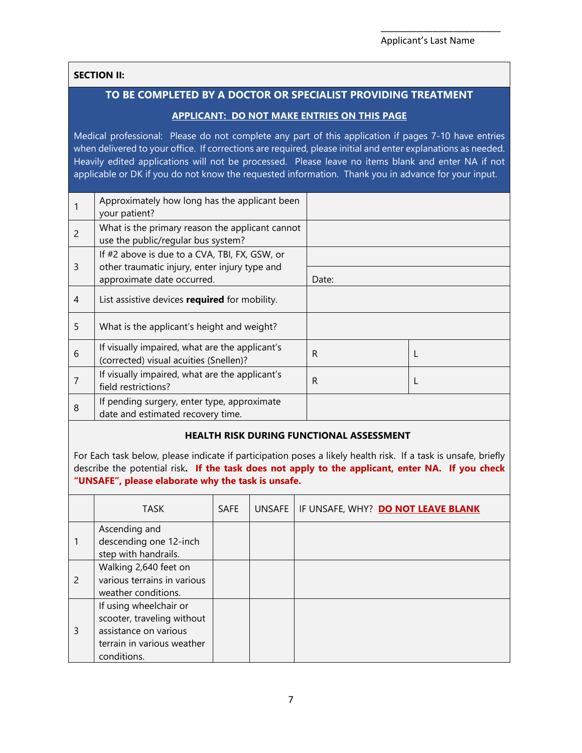## **SECTION II:**

## **TO BE COMPLETED BY A DOCTOR OR SPECIALIST PROVIDING TREATMENT**

## **APPLICANT: DO NOT MAKE ENTRIES ON THIS PAGE**

Medical professional: Please do not complete any part of this application if pages 7-10 have entries when delivered to your office. If corrections are required, please initial and enter explanations as needed. Heavily edited applications will not be processed. Please leave no items blank and enter NA if not applicable or DK if you do not know the requested information. Thank you in advance for your input.

|   | Approximately how long has the applicant been<br>your patient?                                 |       |  |
|---|------------------------------------------------------------------------------------------------|-------|--|
| 2 | What is the primary reason the applicant cannot<br>use the public/regular bus system?          |       |  |
| 3 | If #2 above is due to a CVA, TBI, FX, GSW, or<br>other traumatic injury, enter injury type and |       |  |
|   | approximate date occurred.                                                                     | Date: |  |
| 4 | List assistive devices required for mobility.                                                  |       |  |
| 5 | What is the applicant's height and weight?                                                     |       |  |
| 6 | If visually impaired, what are the applicant's<br>(corrected) visual acuities (Snellen)?       | R     |  |
| 7 | If visually impaired, what are the applicant's<br>field restrictions?                          | R     |  |
| 8 | If pending surgery, enter type, approximate<br>date and estimated recovery time.               |       |  |

## **HEALTH RISK DURING FUNCTIONAL ASSESSMENT**

For Each task below, please indicate if participation poses a likely health risk. If a task is unsafe, briefly describe the potential risk**. If the task does not apply to the applicant, enter NA. If you check "UNSAFE", please elaborate why the task is unsafe.**

|   | TASK                                                                                                                       | <b>SAFE</b> | UNSAFE | IF UNSAFE, WHY? DO NOT LEAVE BLANK |
|---|----------------------------------------------------------------------------------------------------------------------------|-------------|--------|------------------------------------|
|   | Ascending and<br>descending one 12-inch<br>step with handrails.                                                            |             |        |                                    |
| 2 | Walking 2,640 feet on<br>various terrains in various<br>weather conditions.                                                |             |        |                                    |
| 3 | If using wheelchair or<br>scooter, traveling without<br>assistance on various<br>terrain in various weather<br>conditions. |             |        |                                    |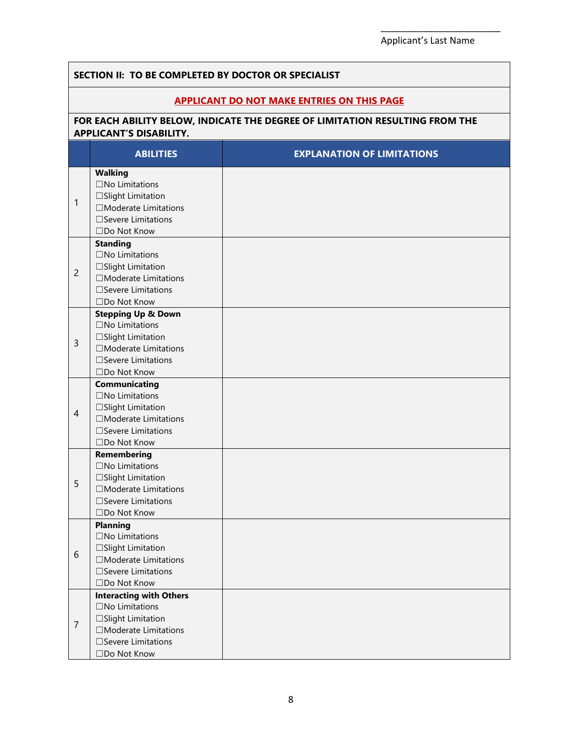#### **SECTION II: TO BE COMPLETED BY DOCTOR OR SPECIALIST APPLICANT DO NOT MAKE ENTRIES ON THIS PAGE FOR EACH ABILITY BELOW, INDICATE THE DEGREE OF LIMITATION RESULTING FROM THE APPLICANT'S DISABILITY. ABILITIES EXPLANATION OF LIMITATIONS** 1 **Walking** ☐No Limitations ☐Slight Limitation ☐Moderate Limitations ☐Severe Limitations ☐Do Not Know 2 **Standing** ☐No Limitations ☐Slight Limitation ☐Moderate Limitations ☐Severe Limitations ☐Do Not Know 3 **Stepping Up & Down** ☐No Limitations ☐Slight Limitation ☐Moderate Limitations ☐Severe Limitations ☐Do Not Know 4 **Communicating** ☐No Limitations ☐Slight Limitation ☐Moderate Limitations ☐Severe Limitations ☐Do Not Know 5 **Remembering** ☐No Limitations ☐Slight Limitation ☐Moderate Limitations ☐Severe Limitations ☐Do Not Know 6 **Planning** ☐No Limitations ☐Slight Limitation ☐Moderate Limitations ☐Severe Limitations ☐Do Not Know 7 **Interacting with Others**  ☐No Limitations ☐Slight Limitation ☐Moderate Limitations ☐Severe Limitations ☐Do Not Know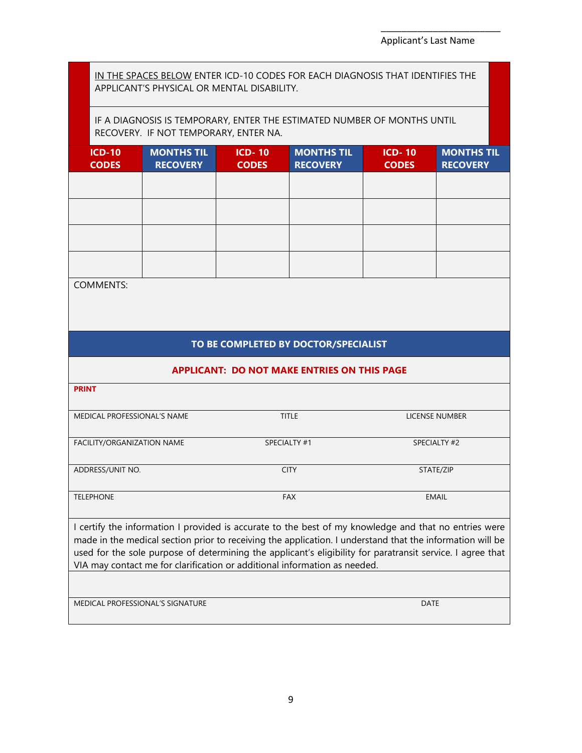IN THE SPACES BELOW ENTER ICD-10 CODES FOR EACH DIAGNOSIS THAT IDENTIFIES THE APPLICANT'S PHYSICAL OR MENTAL DISABILITY.

IF A DIAGNOSIS IS TEMPORARY, ENTER THE ESTIMATED NUMBER OF MONTHS UNTIL RECOVERY. IF NOT TEMPORARY, ENTER NA.

| <b>ICD-10</b><br><b>CODES</b> | <b>MONTHS TIL</b><br><b>RECOVERY</b> | <b>ICD-10</b><br><b>CODES</b> | <b>MONTHS TIL</b><br><b>RECOVERY</b> | <b>ICD-10</b><br><b>CODES</b> | <b>MONTHS TIL</b><br><b>RECOVERY</b> |
|-------------------------------|--------------------------------------|-------------------------------|--------------------------------------|-------------------------------|--------------------------------------|
|                               |                                      |                               |                                      |                               |                                      |
|                               |                                      |                               |                                      |                               |                                      |
|                               |                                      |                               |                                      |                               |                                      |
|                               |                                      |                               |                                      |                               |                                      |

COMMENTS:

## **TO BE COMPLETED BY DOCTOR/SPECIALIST**

#### **APPLICANT: DO NOT MAKE ENTRIES ON THIS PAGE**

| <b>PRINT</b>                                                                                                                                                                                                                                                                                                                                                                                                  |              |                |  |  |  |
|---------------------------------------------------------------------------------------------------------------------------------------------------------------------------------------------------------------------------------------------------------------------------------------------------------------------------------------------------------------------------------------------------------------|--------------|----------------|--|--|--|
| MEDICAL PROFESSIONAL'S NAME                                                                                                                                                                                                                                                                                                                                                                                   | <b>TITLE</b> | LICENSE NUMBER |  |  |  |
| FACILITY/ORGANIZATION NAME                                                                                                                                                                                                                                                                                                                                                                                    | SPECIALTY #1 | SPECIALTY #2   |  |  |  |
| ADDRESS/UNIT NO.                                                                                                                                                                                                                                                                                                                                                                                              | <b>CITY</b>  | STATE/ZIP      |  |  |  |
| <b>TELEPHONE</b>                                                                                                                                                                                                                                                                                                                                                                                              | <b>FAX</b>   | <b>EMAIL</b>   |  |  |  |
| I certify the information I provided is accurate to the best of my knowledge and that no entries were<br>made in the medical section prior to receiving the application. I understand that the information will be<br>used for the sole purpose of determining the applicant's eligibility for paratransit service. I agree that<br>VIA may contact me for clarification or additional information as needed. |              |                |  |  |  |
|                                                                                                                                                                                                                                                                                                                                                                                                               |              |                |  |  |  |
| MEDICAL PROFESSIONAL'S SIGNATURE                                                                                                                                                                                                                                                                                                                                                                              |              | <b>DATE</b>    |  |  |  |